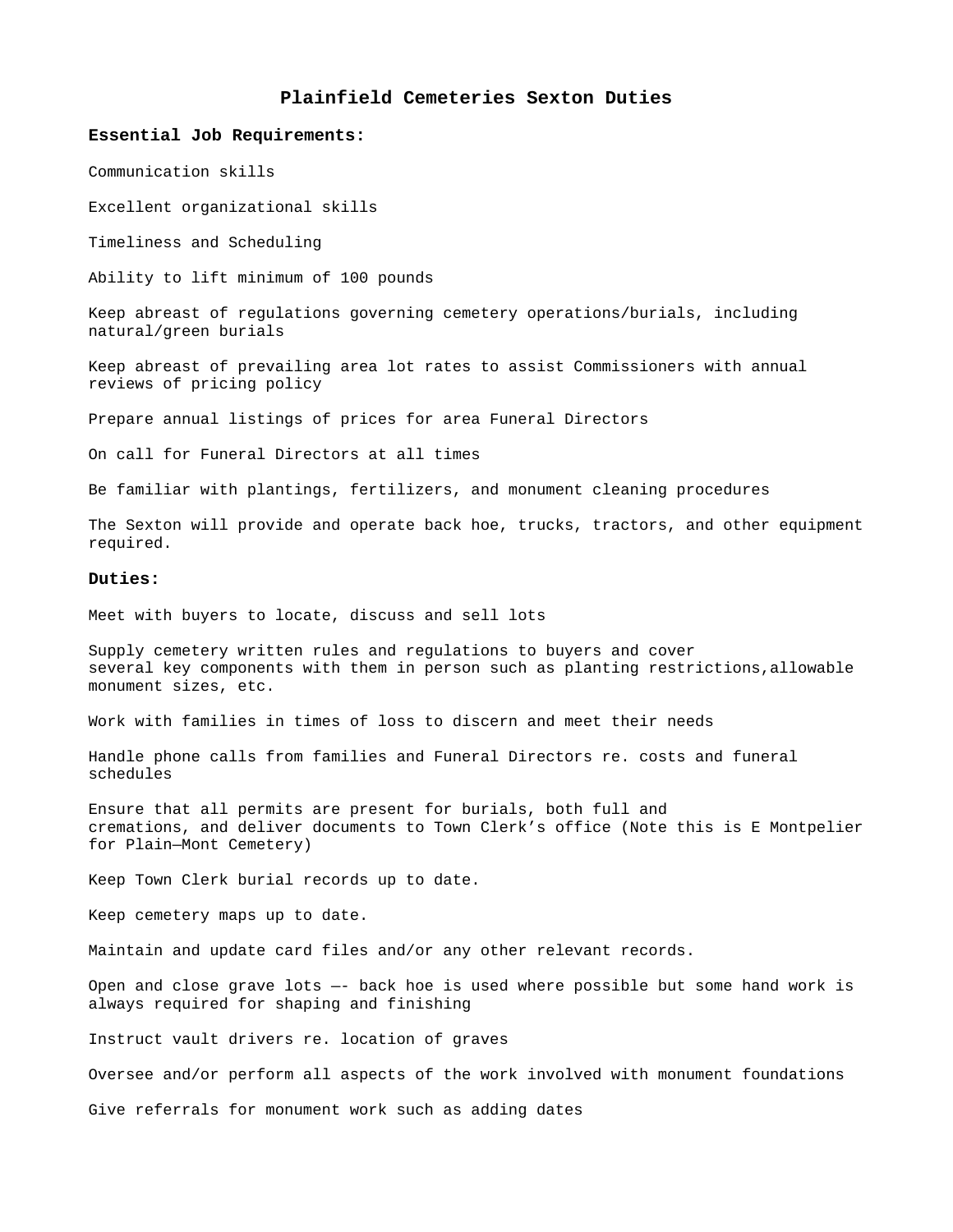# **Plainfield Cemeteries Sexton Duties**

#### **Essential Job Requirements:**

Communication skills

Excellent organizational skills

Timeliness and Scheduling

Ability to lift minimum of 100 pounds

Keep abreast of regulations governing cemetery operations/burials, including natural/green burials

Keep abreast of prevailing area lot rates to assist Commissioners with annual reviews of pricing policy

Prepare annual listings of prices for area Funeral Directors

On call for Funeral Directors at all times

Be familiar with plantings, fertilizers, and monument cleaning procedures

The Sexton will provide and operate back hoe, trucks, tractors, and other equipment required.

## **Duties:**

Meet with buyers to locate, discuss and sell lots

Supply cemetery written rules and regulations to buyers and cover several key components with them in person such as planting restrictions,allowable monument sizes, etc.

Work with families in times of loss to discern and meet their needs

Handle phone calls from families and Funeral Directors re. costs and funeral schedules

Ensure that all permits are present for burials, both full and cremations, and deliver documents to Town Clerk's office (Note this is E Montpelier for Plain—Mont Cemetery)

Keep Town Clerk burial records up to date.

Keep cemetery maps up to date.

Maintain and update card files and/or any other relevant records.

Open and close grave lots —- back hoe is used where possible but some hand work is always required for shaping and finishing

Instruct vault drivers re. location of graves

Oversee and/or perform all aspects of the work involved with monument foundations

Give referrals for monument work such as adding dates